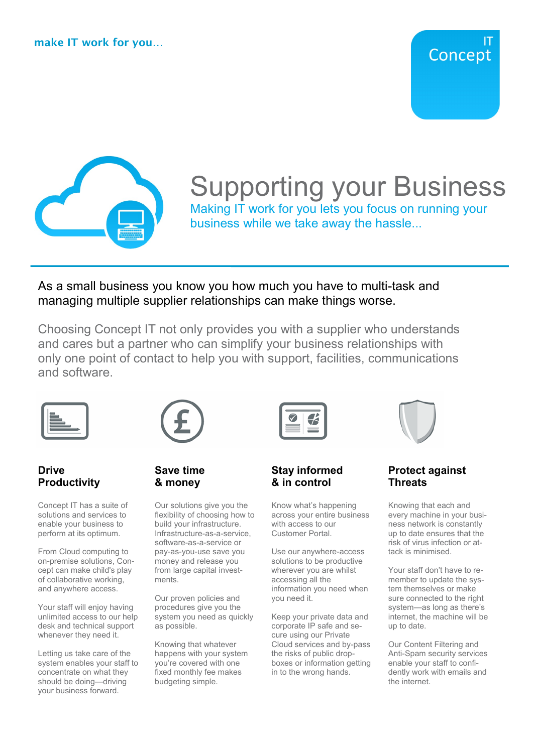

# Supporting your Business

Making IT work for you lets you focus on running your business while we take away the hassle...

As a small business you know you how much you have to multi-task and managing multiple supplier relationships can make things worse.

Choosing Concept IT not only provides you with a supplier who understands and cares but a partner who can simplify your business relationships with only one point of contact to help you with support, facilities, communications and software.



# **Drive Productivity**

Concept IT has a suite of solutions and services to enable your business to perform at its optimum.

From Cloud computing to on-premise solutions, Concept can make child's play of collaborative working, and anywhere access.

Your staff will enjoy having unlimited access to our help desk and technical support whenever they need it.

Letting us take care of the system enables your staff to concentrate on what they should be doing—driving your business forward.

# **Save time & money**

Our solutions give you the flexibility of choosing how to build your infrastructure. Infrastructure-as-a-service, software-as-a-service or pay-as-you-use save you money and release you from large capital investments.

Our proven policies and procedures give you the system you need as quickly as possible.

Knowing that whatever happens with your system you're covered with one fixed monthly fee makes budgeting simple.



# **Stay informed & in control**

Know what's happening across your entire business with access to our Customer Portal.

Use our anywhere-access solutions to be productive wherever you are whilst accessing all the information you need when you need it.

Keep your private data and corporate IP safe and secure using our Private Cloud services and by-pass the risks of public dropboxes or information getting in to the wrong hands.

**Protect against Threats**

Knowing that each and every machine in your business network is constantly up to date ensures that the risk of virus infection or attack is minimised.

Your staff don't have to remember to update the system themselves or make sure connected to the right system—as long as there's internet, the machine will be up to date.

Our Content Filtering and Anti-Spam security services enable your staff to confidently work with emails and the internet.